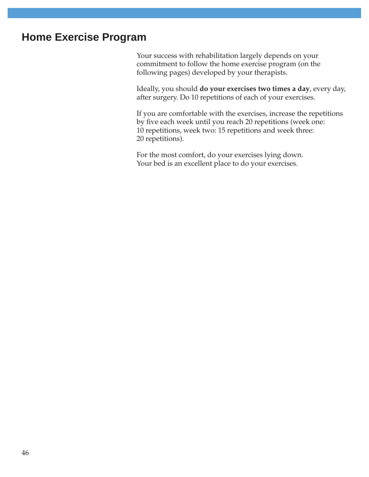# **Home Exercise Program**

Your success with rehabilitation largely depends on your commitment to follow the home exercise program (on the following pages) developed by your therapists.

Ideally, you should **do your exercises two times a day**, every day, after surgery. Do 10 repetitions of each of your exercises.

If you are comfortable with the exercises, increase the repetitions by five each week until you reach 20 repetitions (week one: 10 repetitions, week two: 15 repetitions and week three: 20 repetitions).

For the most comfort, do your exercises lying down. Your bed is an excellent place to do your exercises.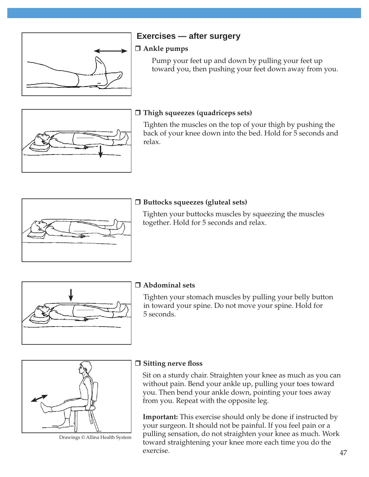

# **Exercises — after surgery**

#### **Ankle pumps**

 Pump your feet up and down by pulling your feet up toward you, then pushing your feet down away from you.



#### **Thigh squeezes (quadriceps sets)**

Tighten the muscles on the top of your thigh by pushing the back of your knee down into the bed. Hold for 5 seconds and relax.



### **Buttocks squeezes (gluteal sets)**

Tighten your buttocks muscles by squeezing the muscles together. Hold for 5 seconds and relax.



## **Abdominal sets**

Tighten your stomach muscles by pulling your belly button in toward your spine. Do not move your spine. Hold for 5 seconds.



Drawings © Allina Health System

#### **Sitting nerve floss**

Sit on a sturdy chair. Straighten your knee as much as you can without pain. Bend your ankle up, pulling your toes toward you. Then bend your ankle down, pointing your toes away from you. Repeat with the opposite leg.

**Important:** This exercise should only be done if instructed by your surgeon. It should not be painful. If you feel pain or a pulling sensation, do not straighten your knee as much. Work toward straightening your knee more each time you do the exercise.